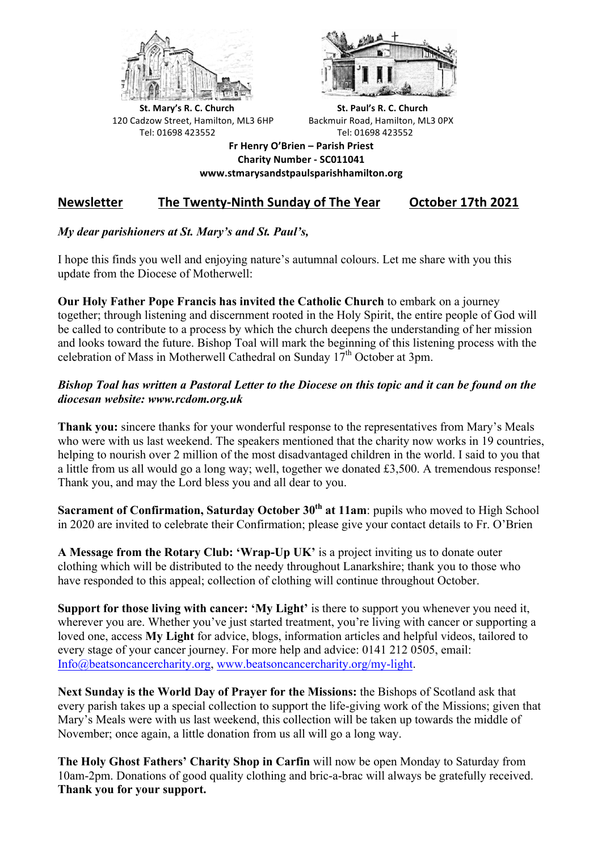



**St.** Mary's R. C. Church St. Paul's R. C. Church 120 Cadzow Street, Hamilton, ML3 6HP Backmuir Road, Hamilton, ML3 0PX Tel: 01698 423552 Tel: 01698 423552

**Fr Henry O'Brien – Parish Priest Charity Number - SC011041 www.stmarysandstpaulsparishhamilton.org**

# Newsletter The Twenty-Ninth Sunday of The Year October 17th 2021

## *My dear parishioners at St. Mary's and St. Paul's,*

I hope this finds you well and enjoying nature's autumnal colours. Let me share with you this update from the Diocese of Motherwell:

**Our Holy Father Pope Francis has invited the Catholic Church** to embark on a journey together; through listening and discernment rooted in the Holy Spirit, the entire people of God will be called to contribute to a process by which the church deepens the understanding of her mission and looks toward the future. Bishop Toal will mark the beginning of this listening process with the celebration of Mass in Motherwell Cathedral on Sunday  $17<sup>th</sup>$  October at 3pm.

## *Bishop Toal has written a Pastoral Letter to the Diocese on this topic and it can be found on the diocesan website: www.rcdom.org.uk*

**Thank you:** sincere thanks for your wonderful response to the representatives from Mary's Meals who were with us last weekend. The speakers mentioned that the charity now works in 19 countries, helping to nourish over 2 million of the most disadvantaged children in the world. I said to you that a little from us all would go a long way; well, together we donated £3,500. A tremendous response! Thank you, and may the Lord bless you and all dear to you.

**Sacrament of Confirmation, Saturday October 30th at 11am**: pupils who moved to High School in 2020 are invited to celebrate their Confirmation; please give your contact details to Fr. O'Brien

**A Message from the Rotary Club: 'Wrap-Up UK'** is a project inviting us to donate outer clothing which will be distributed to the needy throughout Lanarkshire; thank you to those who have responded to this appeal; collection of clothing will continue throughout October.

**Support for those living with cancer: 'My Light'** is there to support you whenever you need it, wherever you are. Whether you've just started treatment, you're living with cancer or supporting a loved one, access **My Light** for advice, blogs, information articles and helpful videos, tailored to every stage of your cancer journey. For more help and advice: 0141 212 0505, email: Info@beatsoncancercharity.org, www.beatsoncancercharity.org/my-light.

**Next Sunday is the World Day of Prayer for the Missions:** the Bishops of Scotland ask that every parish takes up a special collection to support the life-giving work of the Missions; given that Mary's Meals were with us last weekend, this collection will be taken up towards the middle of November; once again, a little donation from us all will go a long way.

**The Holy Ghost Fathers' Charity Shop in Carfin** will now be open Monday to Saturday from 10am-2pm. Donations of good quality clothing and bric-a-brac will always be gratefully received. **Thank you for your support.**